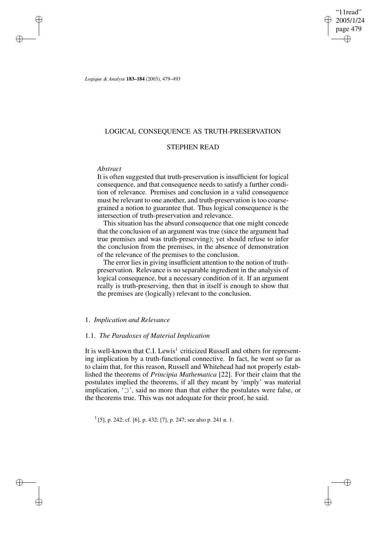"11read" 2005/1/24 page 479 ✐ ✐

✐

✐

*Logique & Analyse* **183–184** (2003), 479–493

# LOGICAL CONSEQUENCE AS TRUTH-PRESERVATION

# STEPHEN READ

# *Abstract*

✐

✐

✐

✐

It is often suggested that truth-preservation is insufficient for logical consequence, and that consequence needs to satisfy a further condition of relevance. Premises and conclusion in a valid consequence must be relevant to one another, and truth-preservation is too coarsegrained a notion to guarantee that. Thus logical consequence is the intersection of truth-preservation and relevance.

This situation has the absurd consequence that one might concede that the conclusion of an argument was true (since the argument had true premises and was truth-preserving); yet should refuse to infer the conclusion from the premises, in the absence of demonstration of the relevance of the premises to the conclusion.

The error lies in giving insufficient attention to the notion of truthpreservation. Relevance is no separable ingredient in the analysis of logical consequence, but a necessary condition of it. If an argument really is truth-preserving, then that in itself is enough to show that the premises are (logically) relevant to the conclusion.

### 1. *Implication and Relevance*

### 1.1. *The Paradoxes of Material Implication*

It is well-known that C.I. Lewis<sup>1</sup> criticized Russell and others for representing implication by a truth-functional connective. In fact, he went so far as to claim that, for this reason, Russell and Whitehead had not properly established the theorems of *Principia Mathematica* [22]. For their claim that the postulates implied the theorems, if all they meant by 'imply' was material implication, '⊃', said no more than that either the postulates were false, or the theorems true. This was not adequate for their proof, he said.

1 [5], p. 242; cf. [6], p. 432; [7], p. 247; see also p. 241 n. 1.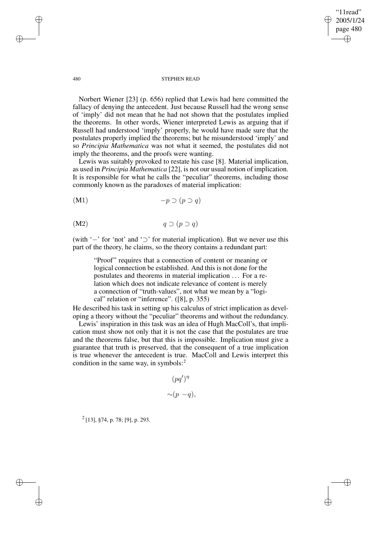"11read" 2005/1/24 page 480 ✐ ✐

✐

✐

#### 480 STEPHEN READ

Norbert Wiener [23] (p. 656) replied that Lewis had here committed the fallacy of denying the antecedent. Just because Russell had the wrong sense of 'imply' did not mean that he had not shown that the postulates implied the theorems. In other words, Wiener interpreted Lewis as arguing that if Russell had understood 'imply' properly, he would have made sure that the postulates properly implied the theorems; but he misunderstood 'imply' and so *Principia Mathematica* was not what it seemed, the postulates did not imply the theorems, and the proofs were wanting.

Lewis was suitably provoked to restate his case [8]. Material implication, as used in *Principia Mathematica* [22], is not our usual notion of implication. It is responsible for what he calls the "peculiar" theorems, including those commonly known as the paradoxes of material implication:

$$
(M1) \t -p \supset (p \supset q)
$$

$$
(M2) \t q \supset (p \supset q)
$$

(with '−' for 'not' and '⊃' for material implication). But we never use this part of the theory, he claims, so the theory contains a redundant part:

"Proof" requires that a connection of content or meaning or logical connection be established. And this is not done for the postulates and theorems in material implication . . . For a relation which does not indicate relevance of content is merely a connection of "truth-values", not what we mean by a "logical" relation or "inference". ([8], p. 355)

He described his task in setting up his calculus of strict implication as developing a theory without the "peculiar" theorems and without the redundancy.

Lewis' inspiration in this task was an idea of Hugh MacColl's, that implication must show not only that it is not the case that the postulates are true and the theorems false, but that this is impossible. Implication must give a guarantee that truth is preserved, that the consequent of a true implication is true whenever the antecedent is true. MacColl and Lewis interpret this condition in the same way, in symbols: $2^2$ 

$$
(pq')^{\eta}
$$

$$
\sim (p - q),
$$

 $2$  [13], §74, p. 78; [9], p. 293.

✐

✐

✐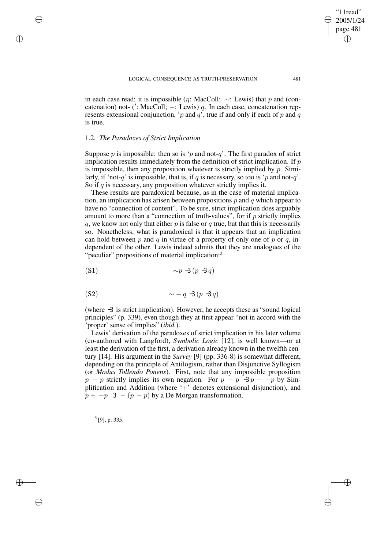in each case read: it is impossible ( $\eta$ : MacColl;  $\sim$ : Lewis) that p and (concatenation) not- (': MacColl;  $-$ : Lewis) q. In each case, concatenation represents extensional conjunction, 'p and q', true if and only if each of p and q is true.

### 1.2. *The Paradoxes of Strict Implication*

✐

✐

✐

✐

Suppose p is impossible: then so is 'p and not-q'. The first paradox of strict implication results immediately from the definition of strict implication. If  $p$ is impossible, then any proposition whatever is strictly implied by  $p$ . Similarly, if 'not-q' is impossible, that is, if q is necessary, so too is 'p and not-q'. So if  $q$  is necessary, any proposition whatever strictly implies it.

These results are paradoxical because, as in the case of material implication, an implication has arisen between propositions  $p$  and  $q$  which appear to have no "connection of content". To be sure, strict implication does arguably amount to more than a "connection of truth-values", for if  $p$  strictly implies  $q$ , we know not only that either  $p$  is false or  $q$  true, but that this is necessarily so. Nonetheless, what is paradoxical is that it appears that an implication can hold between p and q in virtue of a property of only one of p or q, independent of the other. Lewis indeed admits that they are analogues of the "peculiar" propositions of material implication:<sup>3</sup>

$$
\sim p \exists (p \exists q)
$$

$$
\sim -q \exists (p \exists q)
$$

(where  $\exists$  is strict implication). However, he accepts these as "sound logical principles" (p. 339), even though they at first appear "not in accord with the 'proper' sense of implies" (*ibid.*).

Lewis' derivation of the paradoxes of strict implication in his later volume (co-authored with Langford), *Symbolic Logic* [12], is well known—or at least the derivation of the first, a derivation already known in the twelfth century [14]. His argument in the *Survey* [9] (pp. 336-8) is somewhat different, depending on the principle of Antilogism, rather than Disjunctive Syllogism (or *Modus Tollendo Ponens*). First, note that any impossible proposition  $p - p$  strictly implies its own negation. For  $p - p \rightarrow p + -p$  by Simplification and Addition (where '+' denotes extensional disjunction), and  $p + -p \leq - (p - p)$  by a De Morgan transformation.

 $3$ [9], p. 335.

"11read" 2005/1/24 page 481

✐

✐

✐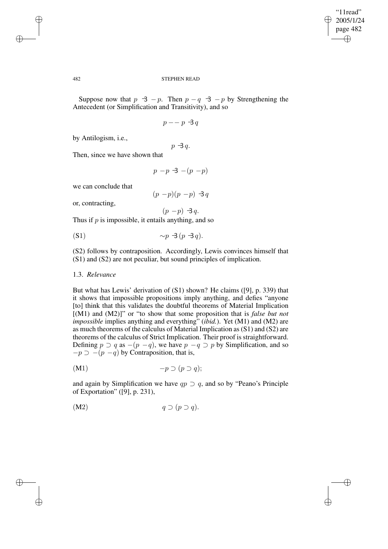✐

#### 482 STEPHEN READ

Suppose now that  $p \leq -p$ . Then  $p - q \leq -p$  by Strengthening the Antecedent (or Simplification and Transitivity), and so

```
p - p - 3q
```
by Antilogism, i.e.,

 $p \rightarrow q$ .

Then, since we have shown that

$$
p - p \triangleleft - (p - p)
$$

we can conclude that

 $(p - p)(p - p) \triangleleft q$ 

or, contracting,

$$
(p - p) \exists q.
$$

Thus if  $p$  is impossible, it entails anything, and so

$$
\sim p \exists (p \exists q).
$$

(S2) follows by contraposition. Accordingly, Lewis convinces himself that (S1) and (S2) are not peculiar, but sound principles of implication.

# 1.3. *Relevance*

But what has Lewis' derivation of (S1) shown? He claims ([9], p. 339) that it shows that impossible propositions imply anything, and defies "anyone [to] think that this validates the doubtful theorems of Material Implication [(M1) and (M2)]" or "to show that some proposition that is *false but not impossible* implies anything and everything<sup>"</sup> (*ibid.*). Yet (M1) and (M2) are as much theorems of the calculus of Material Implication as (S1) and (S2) are theorems of the calculus of Strict Implication. Their proof is straightforward. Defining  $p \supset q$  as  $-(p - q)$ , we have  $p - q \supset p$  by Simplification, and so  $-p \supset -(p - q)$  by Contraposition, that is,

$$
(M1) \t-p \supset (p \supset q);
$$

and again by Simplification we have  $qp \supset q$ , and so by "Peano's Principle of Exportation" ([9], p. 231),

$$
(M2) \t q \supset (p \supset q).
$$

✐

✐

✐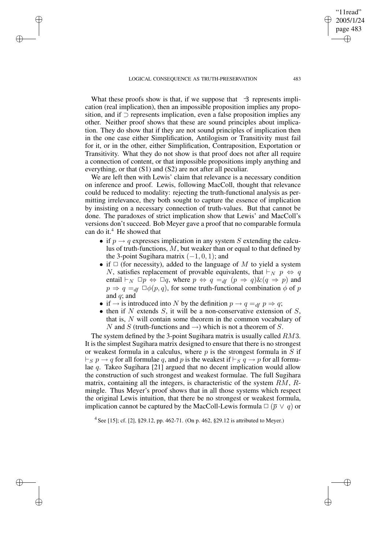✐

✐

✐

What these proofs show is that, if we suppose that  $\exists$  represents implication (real implication), then an impossible proposition implies any proposition, and if ⊃ represents implication, even a false proposition implies any other. Neither proof shows that these are sound principles about implication. They do show that if they are not sound principles of implication then in the one case either Simplification, Antilogism or Transitivity must fail for it, or in the other, either Simplification, Contraposition, Exportation or Transitivity. What they do not show is that proof does not after all require a connection of content, or that impossible propositions imply anything and everything, or that (S1) and (S2) are not after all peculiar.

We are left then with Lewis' claim that relevance is a necessary condition on inference and proof. Lewis, following MacColl, thought that relevance could be reduced to modality: rejecting the truth-functional analysis as permitting irrelevance, they both sought to capture the essence of implication by insisting on a necessary connection of truth-values. But that cannot be done. The paradoxes of strict implication show that Lewis' and MacColl's versions don't succeed. Bob Meyer gave a proof that no comparable formula can do it.<sup>4</sup> He showed that

- if  $p \rightarrow q$  expresses implication in any system S extending the calculus of truth-functions,  $M$ , but weaker than or equal to that defined by the 3-point Sugihara matrix  $(-1, 0, 1)$ ; and
- if  $\Box$  (for necessity), added to the language of M to yield a system N, satisfies replacement of provable equivalents, that  $\vdash_N p \Leftrightarrow q$ entail  $\vdash_N \Box p \Leftrightarrow \Box q$ , where  $p \Leftrightarrow q =_{df} (p \Rightarrow q) \& (q \Rightarrow p)$  and  $p \Rightarrow q =_{df} \Box \phi(p,q)$ , for some truth-functional combination  $\phi$  of p and  $q$ ; and
- if  $\rightarrow$  is introduced into N by the definition  $p \rightarrow q =_{df} p \Rightarrow q$ ;
- then if N extends  $S$ , it will be a non-conservative extension of  $S$ , that is, N will contain some theorem in the common vocabulary of N and S (truth-functions and  $\rightarrow$ ) which is not a theorem of S.

The system defined by the 3-point Sugihara matrix is usually called RM3. It is the simplest Sugihara matrix designed to ensure that there is no strongest or weakest formula in a calculus, where  $p$  is the strongest formula in  $S$  if  $\vdash_S p \to q$  for all formulae q, and p is the weakest if  $\vdash_S q \to p$  for all formulae q. Takeo Sugihara [21] argued that no decent implication would allow the construction of such strongest and weakest formulae. The full Sugihara matrix, containing all the integers, is characteristic of the system  $RM$ ,  $R$ mingle. Thus Meyer's proof shows that in all those systems which respect the original Lewis intuition, that there be no strongest or weakest formula, implication cannot be captured by the MacColl-Lewis formula  $\Box$  ( $\overline{p} \lor q$ ) or

4 See [15]; cf. [2], §29.12, pp. 462-71. (On p. 462, §29.12 is attributed to Meyer.)

"11read" 2005/1/24 page 483

✐

✐

✐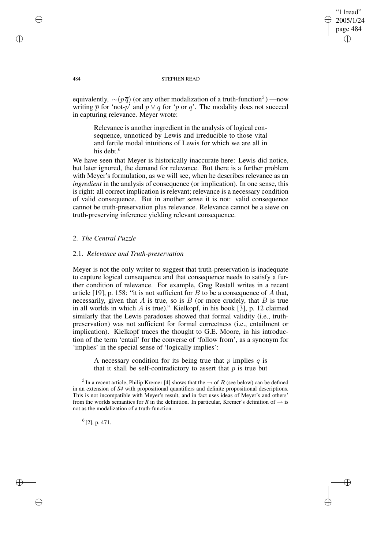"11read" 2005/1/24 page 484 ✐ ✐

✐

✐

#### 484 STEPHEN READ

equivalently,  $\sim (p\bar{q})$  (or any other modalization of a truth-function<sup>5</sup>) —now writing  $\overline{p}$  for 'not-p' and  $p \vee q$  for 'p or q'. The modality does not succeed in capturing relevance. Meyer wrote:

Relevance is another ingredient in the analysis of logical consequence, unnoticed by Lewis and irreducible to those vital and fertile modal intuitions of Lewis for which we are all in his debt.<sup>6</sup>

We have seen that Meyer is historically inaccurate here: Lewis did notice, but later ignored, the demand for relevance. But there is a further problem with Meyer's formulation, as we will see, when he describes relevance as an *ingredient* in the analysis of consequence (or implication). In one sense, this is right: all correct implication is relevant; relevance is a necessary condition of valid consequence. But in another sense it is not: valid consequence cannot be truth-preservation plus relevance. Relevance cannot be a sieve on truth-preserving inference yielding relevant consequence.

# 2. *The Central Puzzle*

### 2.1. *Relevance and Truth-preservation*

Meyer is not the only writer to suggest that truth-preservation is inadequate to capture logical consequence and that consequence needs to satisfy a further condition of relevance. For example, Greg Restall writes in a recent article [19], p. 158: "it is not sufficient for  $B$  to be a consequence of  $A$  that, necessarily, given that  $A$  is true, so is  $B$  (or more crudely, that  $B$  is true in all worlds in which  $A$  is true)." Kielkopf, in his book [3], p. 12 claimed similarly that the Lewis paradoxes showed that formal validity (i.e., truthpreservation) was not sufficient for formal correctness (i.e., entailment or implication). Kielkopf traces the thought to G.E. Moore, in his introduction of the term 'entail' for the converse of 'follow from', as a synonym for 'implies' in the special sense of 'logically implies':

A necessary condition for its being true that p implies q is that it shall be self-contradictory to assert that  $p$  is true but

<sup>5</sup> In a recent article, Philip Kremer [4] shows that the  $\rightarrow$  of R (see below) can be defined in an extension of *S4* with propositional quantifiers and definite propositional descriptions. This is not incompatible with Meyer's result, and in fact uses ideas of Meyer's and others' from the worlds semantics for *R* in the definition. In particular, Kremer's definition of  $\rightarrow$  is not as the modalization of a truth-function.

6 [2], p. 471.

✐

✐

✐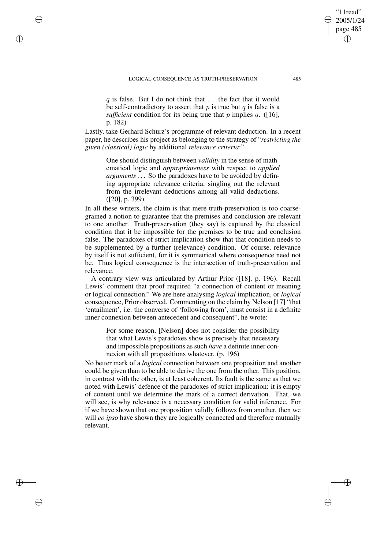#### LOGICAL CONSEQUENCE AS TRUTH-PRESERVATION 485

✐

✐

✐

✐

 $q$  is false. But I do not think that  $\dots$  the fact that it would be self-contradictory to assert that  $p$  is true but  $q$  is false is a *sufficient* condition for its being true that  $p$  implies  $q$ . ([16], p. 182)

Lastly, take Gerhard Schurz's programme of relevant deduction. In a recent paper, he describes his project as belonging to the strategy of "*restricting the given (classical) logic* by additional *relevance criteria*:"

One should distinguish between *validity* in the sense of mathematical logic and *appropriateness* with respect to *applied arguments* . . . So the paradoxes have to be avoided by defining appropriate relevance criteria, singling out the relevant from the irrelevant deductions among all valid deductions. ([20], p. 399)

In all these writers, the claim is that mere truth-preservation is too coarsegrained a notion to guarantee that the premises and conclusion are relevant to one another. Truth-preservation (they say) is captured by the classical condition that it be impossible for the premises to be true and conclusion false. The paradoxes of strict implication show that that condition needs to be supplemented by a further (relevance) condition. Of course, relevance by itself is not sufficient, for it is symmetrical where consequence need not be. Thus logical consequence is the intersection of truth-preservation and relevance.

A contrary view was articulated by Arthur Prior ([18], p. 196). Recall Lewis' comment that proof required "a connection of content or meaning or logical connection." We are here analysing *logical* implication, or *logical* consequence, Prior observed. Commenting on the claim by Nelson [17] "that 'entailment', i.e. the converse of 'following from', must consist in a definite inner connexion between antecedent and consequent", he wrote:

For some reason, [Nelson] does not consider the possibility that what Lewis's paradoxes show is precisely that necessary and impossible propositions as such *have* a definite inner connexion with all propositions whatever. (p. 196)

No better mark of a *logical* connection between one proposition and another could be given than to be able to derive the one from the other. This position, in contrast with the other, is at least coherent. Its fault is the same as that we noted with Lewis' defence of the paradoxes of strict implication: it is empty of content until we determine the mark of a correct derivation. That, we will see, is why relevance is a necessary condition for valid inference. For if we have shown that one proposition validly follows from another, then we will *eo ipso* have shown they are logically connected and therefore mutually relevant.

"11read" 2005/1/24 page 485

✐

✐

✐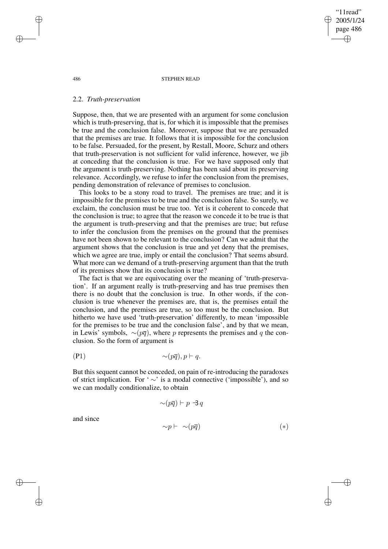486 STEPHEN READ

"11read" 2005/1/24 page 486

✐

✐

✐

✐

### 2.2. *Truth-preservation*

Suppose, then, that we are presented with an argument for some conclusion which is truth-preserving, that is, for which it is impossible that the premises be true and the conclusion false. Moreover, suppose that we are persuaded that the premises are true. It follows that it is impossible for the conclusion to be false. Persuaded, for the present, by Restall, Moore, Schurz and others that truth-preservation is not sufficient for valid inference, however, we jib at conceding that the conclusion is true. For we have supposed only that the argument is truth-preserving. Nothing has been said about its preserving relevance. Accordingly, we refuse to infer the conclusion from the premises, pending demonstration of relevance of premises to conclusion.

This looks to be a stony road to travel. The premises are true; and it is impossible for the premises to be true and the conclusion false. So surely, we exclaim, the conclusion must be true too. Yet is it coherent to concede that the conclusion is true; to agree that the reason we concede it to be true is that the argument is truth-preserving and that the premises are true; but refuse to infer the conclusion from the premises on the ground that the premises have not been shown to be relevant to the conclusion? Can we admit that the argument shows that the conclusion is true and yet deny that the premises, which we agree are true, imply or entail the conclusion? That seems absurd. What more can we demand of a truth-preserving argument than that the truth of its premises show that its conclusion is true?

The fact is that we are equivocating over the meaning of 'truth-preservation'. If an argument really is truth-preserving and has true premises then there is no doubt that the conclusion is true. In other words, if the conclusion is true whenever the premises are, that is, the premises entail the conclusion, and the premises are true, so too must be the conclusion. But hitherto we have used 'truth-preservation' differently, to mean 'impossible for the premises to be true and the conclusion false', and by that we mean, in Lewis' symbols,  $\sim (p\overline{q})$ , where p represents the premises and q the conclusion. So the form of argument is

$$
\sim(p\overline{q}), p \vdash q.
$$

But this sequent cannot be conceded, on pain of re-introducing the paradoxes of strict implication. For ' ∼' is a modal connective ('impossible'), and so we can modally conditionalize, to obtain

$$
\sim (p\overline{q}) \vdash p \ \exists \, q
$$

and since

✐

✐

$$
\sim p \vdash \sim (p\overline{q}) \tag{*}
$$

✐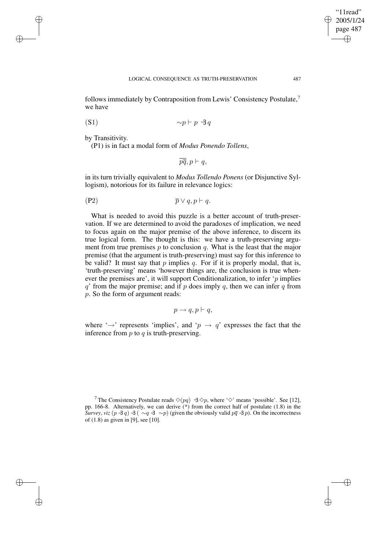✐

follows immediately by Contraposition from Lewis' Consistency Postulate,<sup>7</sup> we have

$$
\sim p \vdash p \; \exists \, q
$$

by Transitivity.

✐

✐

✐

✐

(P1) is in fact a modal form of *Modus Ponendo Tollens*,

$$
\overline{pq}, p \vdash q,
$$

in its turn trivially equivalent to *Modus Tollendo Ponens* (or Disjunctive Syllogism), notorious for its failure in relevance logics:

$$
\overline{p} \vee q, p \vdash q.
$$

What is needed to avoid this puzzle is a better account of truth-preservation. If we are determined to avoid the paradoxes of implication, we need to focus again on the major premise of the above inference, to discern its true logical form. The thought is this: we have a truth-preserving argument from true premises  $p$  to conclusion  $q$ . What is the least that the major premise (that the argument is truth-preserving) must say for this inference to be valid? It must say that  $p$  implies  $q$ . For if it is properly modal, that is, 'truth-preserving' means 'however things are, the conclusion is true whenever the premises are', it will support Conditionalization, to infer 'p implies  $q'$  from the major premise; and if p does imply q, then we can infer q from p. So the form of argument reads:

$$
p \to q, p \vdash q,
$$

where ' $\rightarrow$ ' represents 'implies', and ' $p \rightarrow q$ ' expresses the fact that the inference from  $p$  to  $q$  is truth-preserving.

<sup>&</sup>lt;sup>7</sup> The Consistency Postulate reads  $\Diamond (pq) \exists \Diamond p$ , where ' $\Diamond'$ ' means 'possible'. See [12], pp. 166-8. Alternatively, we can derive  $(*)$  from the correct half of postulate (1.8) in the *Survey*, *viz*  $(p \exists q) \exists (\sim q \exists \sim p)$  (given the obviously valid  $p\overline{q} \exists p$ ). On the incorrectness of (1.8) as given in [9], see [10].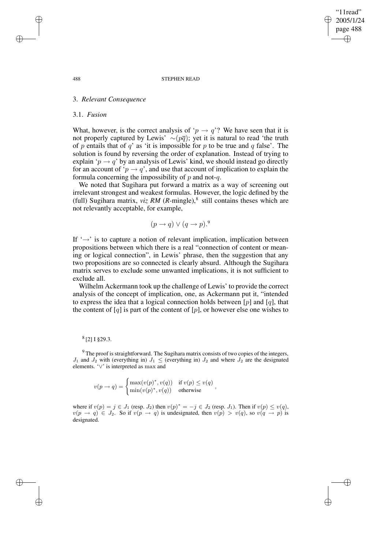"11read" 2005/1/24 page 488 ✐ ✐

✐

✐

#### 488 STEPHEN READ

# 3. *Relevant Consequence*

### 3.1. *Fusion*

What, however, is the correct analysis of ' $p \rightarrow q$ '? We have seen that it is not properly captured by Lewis'  $\sim (p\overline{q})$ ; yet it is natural to read 'the truth of p entails that of q' as 'it is impossible for p to be true and q false'. The solution is found by reversing the order of explanation. Instead of trying to explain ' $p \rightarrow q$ ' by an analysis of Lewis' kind, we should instead go directly for an account of ' $p \rightarrow q$ ', and use that account of implication to explain the formula concerning the impossibility of  $p$  and not- $q$ .

We noted that Sugihara put forward a matrix as a way of screening out irrelevant strongest and weakest formulas. However, the logic defined by the (full) Sugihara matrix,  $viz RM (R\text{-mingle})$ ,<sup>8</sup> still contains theses which are not relevantly acceptable, for example,

$$
(p \to q) \lor (q \to p).^{9}
$$

If  $\rightarrow$  is to capture a notion of relevant implication, implication between propositions between which there is a real "connection of content or meaning or logical connection", in Lewis' phrase, then the suggestion that any two propositions are so connected is clearly absurd. Although the Sugihara matrix serves to exclude some unwanted implications, it is not sufficient to exclude all.

Wilhelm Ackermann took up the challenge of Lewis' to provide the correct analysis of the concept of implication, one, as Ackermann put it, "intended to express the idea that a logical connection holds between  $[p]$  and  $[q]$ , that the content of  $[q]$  is part of the content of  $[p]$ , or however else one wishes to

# 8 [2] I §29.3.

<sup>9</sup> The proof is straightforward. The Sugihara matrix consists of two copies of the integers,  $J_1$  and  $J_2$  with (everything in)  $J_1 \le$  (everything in)  $J_2$  and where  $J_2$  are the designated elements. '∨' is interpreted as max and

$$
v(p \to q) = \begin{cases} \max(v(p)^*, v(q)) & \text{if } v(p) \le v(q) \\ \min(v(p)^*, v(q)) & \text{otherwise} \end{cases}
$$

where if  $v(p) = j \in J_1$  (resp.  $J_2$ ) then  $v(p)^* = -j \in J_2$  (resp.  $J_1$ ). Then if  $v(p) \le v(q)$ ,  $v(p \to q) \in J_2$ . So if  $v(p \to q)$  is undesignated, then  $v(p) > v(q)$ , so  $v(q \to p)$  is designated.

✐

✐

✐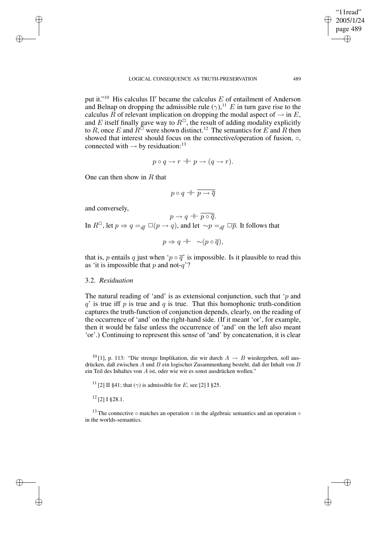put it."<sup>10</sup> His calculus  $\Pi'$  became the calculus E of entailment of Anderson and Belnap on dropping the admissible rule  $(\gamma)$ ,<sup>11</sup> E in turn gave rise to the calculus R of relevant implication on dropping the modal aspect of  $\rightarrow$  in E, and E itself finally gave way to  $R^{\square}$ , the result of adding modality explicitly to R, once E and  $R^{\square}$  were shown distinct.<sup>12</sup> The semantics for E and R then showed that interest should focus on the connective/operation of fusion,  $\circ$ , connected with  $\rightarrow$  by residuation:<sup>13</sup>

$$
p \circ q \to r \dashv \vdash p \to (q \to r).
$$

One can then show in  $R$  that

$$
p \circ q \dashv\vdash \overline{p \to \overline{q}}
$$

and conversely,

✐

✐

✐

✐

 $p \rightarrow q + \overline{p \circ \overline{q}}$ . In  $R^{\Box}$ , let  $p \Rightarrow q =_{df} \Box(p \rightarrow q)$ , and let  $\sim p =_{df} \Box \overline{p}$ . It follows that

$$
p \Rightarrow q + \neg (p \circ \overline{q}),
$$

that is, p entails q just when 'p  $\circ \overline{q}$ ' is impossible. Is it plausible to read this as 'it is impossible that  $p$  and not- $q$ ?

# 3.2. *Residuation*

The natural reading of 'and' is as extensional conjunction, such that ' $p$  and  $q'$  is true iff p is true and q is true. That this homophonic truth-condition captures the truth-function of conjunction depends, clearly, on the reading of the occurrence of 'and' on the right-hand side. (If it meant 'or', for example, then it would be false unless the occurrence of 'and' on the left also meant 'or'.) Continuing to represent this sense of 'and' by concatenation, it is clear

<sup>10</sup> [1], p. 113: "Die strenge Implikation, die wir durch  $A \rightarrow B$  wiedergeben, soll ausdrücken, daß zwischen  $A$  und  $B$  ein logischer Zusammenhang besteht, daß der Inhalt von  $B$ ein Teil des Inhaltes von A ist, oder wie wir es sonst ausdrücken wollen."

<sup>11</sup> [2] II §41; that  $(\gamma)$  is admissible for E, see [2] I §25.

<sup>12</sup> [2] I §28.1.

<sup>13</sup> The connective  $\circ$  matches an operation  $\circ$  in the algebraic semantics and an operation  $\circ$ in the worlds-semantics.

"11read" 2005/1/24 page 489

✐

✐

✐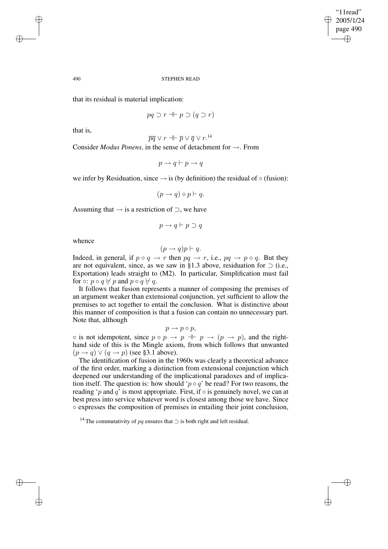✐

#### 490 STEPHEN READ

that its residual is material implication:

$$
pq \supset r \dashv \vdash p \supset (q \supset r)
$$

that is,

$$
\overline{pq} \vee r \dashv \vdash \overline{p} \vee \overline{q} \vee r.^{14}
$$

Consider *Modus Ponens*, in the sense of detachment for →. From

$$
p \to q \vdash p \to q
$$

we infer by Residuation, since  $\rightarrow$  is (by definition) the residual of  $\circ$  (fusion):

$$
(p \to q) \circ p \vdash q.
$$

Assuming that  $\rightarrow$  is a restriction of  $\supset$ , we have

$$
p \to q \vdash p \supset q
$$

whence

$$
(p \to q)p \vdash q.
$$

Indeed, in general, if  $p \circ q \to r$  then  $pq \to r$ , i.e.,  $pq \to p \circ q$ . But they are not equivalent, since, as we saw in §1.3 above, residuation for ⊃ (i.e., Exportation) leads straight to (M2). In particular, Simplification must fail for  $\circ$ :  $p \circ q \not\vdash p$  and  $p \circ q \not\vdash q$ .

It follows that fusion represents a manner of composing the premises of an argument weaker than extensional conjunction, yet sufficient to allow the premises to act together to entail the conclusion. What is distinctive about this manner of composition is that a fusion can contain no unnecessary part. Note that, although

$$
p \to p \circ p,
$$

◦ is not idempotent, since  $p \circ p \to p + p \to (p \to p)$ , and the righthand side of this is the Mingle axiom, from which follows that unwanted  $(p \rightarrow q) \vee (q \rightarrow p)$  (see §3.1 above).

The identification of fusion in the 1960s was clearly a theoretical advance of the first order, marking a distinction from extensional conjunction which deepened our understanding of the implicational paradoxes and of implication itself. The question is: how should ' $p \circ q$ ' be read? For two reasons, the reading 'p and q' is most appropriate. First, if  $\circ$  is genuinely novel, we can at best press into service whatever word is closest among those we have. Since ◦ expresses the composition of premises in entailing their joint conclusion,

✐

✐

✐

<sup>&</sup>lt;sup>14</sup> The commutativity of pq ensures that  $\supset$  is both right and left residual.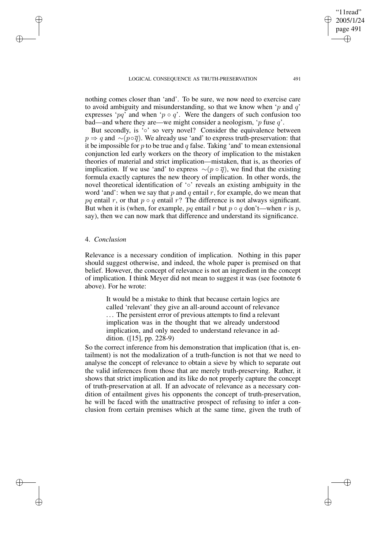#### LOGICAL CONSEQUENCE AS TRUTH-PRESERVATION 491

nothing comes closer than 'and'. To be sure, we now need to exercise care to avoid ambiguity and misunderstanding, so that we know when 'p and  $q$ ' expresses 'pq' and when 'p o q'. Were the dangers of such confusion too bad—and where they are—we might consider a neologism, 'p fuse  $q$ '.

But secondly, is '∘' so very novel? Consider the equivalence between  $p \Rightarrow q$  and ∼( $p \circ \overline{q}$ ). We already use 'and' to express truth-preservation: that it be impossible for  $p$  to be true and  $q$  false. Taking 'and' to mean extensional conjunction led early workers on the theory of implication to the mistaken theories of material and strict implication—mistaken, that is, as theories of implication. If we use 'and' to express  $\sim (p \circ \overline{q})$ , we find that the existing formula exactly captures the new theory of implication. In other words, the novel theoretical identification of '◦' reveals an existing ambiguity in the word 'and': when we say that p and q entail r, for example, do we mean that pq entail r, or that  $p \circ q$  entail r? The difference is not always significant. But when it is (when, for example, pq entail r but  $p \circ q$  don't—when r is p, say), then we can now mark that difference and understand its significance.

# 4. *Conclusion*

✐

✐

✐

✐

Relevance is a necessary condition of implication. Nothing in this paper should suggest otherwise, and indeed, the whole paper is premised on that belief. However, the concept of relevance is not an ingredient in the concept of implication. I think Meyer did not mean to suggest it was (see footnote 6 above). For he wrote:

It would be a mistake to think that because certain logics are called 'relevant' they give an all-around account of relevance ... The persistent error of previous attempts to find a relevant implication was in the thought that we already understood implication, and only needed to understand relevance in addition. ([15], pp. 228-9)

So the correct inference from his demonstration that implication (that is, entailment) is not the modalization of a truth-function is not that we need to analyse the concept of relevance to obtain a sieve by which to separate out the valid inferences from those that are merely truth-preserving. Rather, it shows that strict implication and its like do not properly capture the concept of truth-preservation at all. If an advocate of relevance as a necessary condition of entailment gives his opponents the concept of truth-preservation, he will be faced with the unattractive prospect of refusing to infer a conclusion from certain premises which at the same time, given the truth of

"11read" 2005/1/24 page 491

✐

✐

✐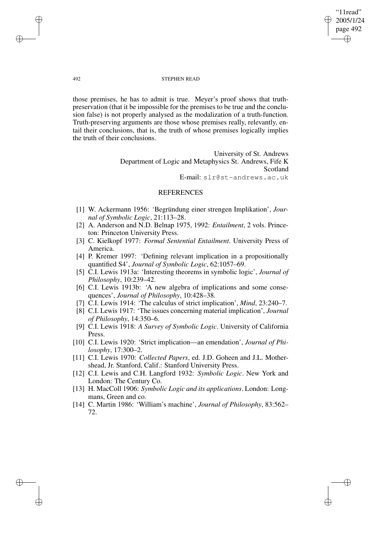"11read" 2005/1/24 page 492 ✐ ✐

✐

✐

#### 492 STEPHEN READ

those premises, he has to admit is true. Meyer's proof shows that truthpreservation (that it be impossible for the premises to be true and the conclusion false) is not properly analysed as the modalization of a truth-function. Truth-preserving arguments are those whose premises really, relevantly, entail their conclusions, that is, the truth of whose premises logically implies the truth of their conclusions.

> University of St. Andrews Department of Logic and Metaphysics St. Andrews, Fife K Scotland E-mail: slr@st-andrews.ac.uk

# **REFERENCES**

- [1] W. Ackermann 1956: 'Begründung einer strengen Implikation', *Journal of Symbolic Logic*, 21:113–28.
- [2] A. Anderson and N.D. Belnap 1975, 1992: *Entailment*, 2 vols. Princeton: Princeton University Press.
- [3] C. Kielkopf 1977: *Formal Sentential Entailment*. University Press of America.
- [4] P. Kremer 1997: 'Defining relevant implication in a propositionally quantified S4', *Journal of Symbolic Logic*, 62:1057–69.
- [5] C.I. Lewis 1913a: 'Interesting theorems in symbolic logic', *Journal of Philosophy*, 10:239–42.
- [6] C.I. Lewis 1913b: 'A new algebra of implications and some consequences', *Journal of Philosophy*, 10:428–38.
- [7] C.I. Lewis 1914: 'The calculus of strict implication', *Mind*, 23:240–7.
- [8] C.I. Lewis 1917: 'The issues concerning material implication', *Journal of Philosophy*, 14:350–6.
- [9] C.I. Lewis 1918: *A Survey of Symbolic Logic*. University of California Press.
- [10] C.I. Lewis 1920: 'Strict implication—an emendation', *Journal of Philosophy*, 17:300–2.
- [11] C.I. Lewis 1970: *Collected Papers*, ed. J.D. Goheen and J.L. Mothershead, Jr. Stanford, Calif.: Stanford University Press.
- [12] C.I. Lewis and C.H. Langford 1932: *Symbolic Logic*. New York and London: The Century Co.
- [13] H. MacColl 1906: *Symbolic Logic and its applications*. London: Longmans, Green and co.
- [14] C. Martin 1986: 'William's machine', *Journal of Philosophy*, 83:562– 72.

✐

✐

✐